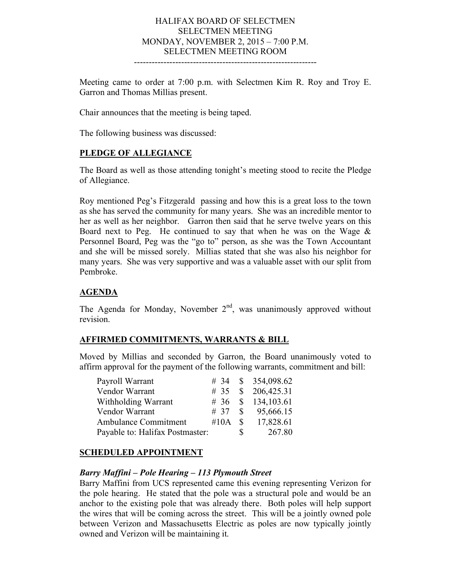#### HALIFAX BOARD OF SELECTMEN SELECTMEN MEETING MONDAY, NOVEMBER 2, 2015 – 7:00 P.M. SELECTMEN MEETING ROOM --------------------------------------------------------------

Meeting came to order at 7:00 p.m. with Selectmen Kim R. Roy and Troy E. Garron and Thomas Millias present.

Chair announces that the meeting is being taped.

The following business was discussed:

## **PLEDGE OF ALLEGIANCE**

The Board as well as those attending tonight's meeting stood to recite the Pledge of Allegiance.

Roy mentioned Peg's Fitzgerald passing and how this is a great loss to the town as she has served the community for many years. She was an incredible mentor to her as well as her neighbor. Garron then said that he serve twelve years on this Board next to Peg. He continued to say that when he was on the Wage  $\&$ Personnel Board, Peg was the "go to" person, as she was the Town Accountant and she will be missed sorely. Millias stated that she was also his neighbor for many years. She was very supportive and was a valuable asset with our split from Pembroke.

## **AGENDA**

The Agenda for Monday, November  $2<sup>nd</sup>$ , was unanimously approved without revision.

### **AFFIRMED COMMITMENTS, WARRANTS & BILL**

Moved by Millias and seconded by Garron, the Board unanimously voted to affirm approval for the payment of the following warrants, commitment and bill:

| Payroll Warrant                 |                 |    | # 34 $\text{\$}$ 354,098.62 |
|---------------------------------|-----------------|----|-----------------------------|
| Vendor Warrant                  |                 |    | # 35 $\,$ \$ 206,425.31     |
| Withholding Warrant             |                 |    | # 36 $\,$ \$ 134,103.61     |
| Vendor Warrant                  |                 |    |                             |
| Ambulance Commitment            | $\#10A \quad S$ |    | 17,828.61                   |
| Payable to: Halifax Postmaster: |                 | S. | 267.80                      |

### **SCHEDULED APPOINTMENT**

### *Barry Maffini – Pole Hearing – 113 Plymouth Street*

Barry Maffini from UCS represented came this evening representing Verizon for the pole hearing. He stated that the pole was a structural pole and would be an anchor to the existing pole that was already there. Both poles will help support the wires that will be coming across the street. This will be a jointly owned pole between Verizon and Massachusetts Electric as poles are now typically jointly owned and Verizon will be maintaining it.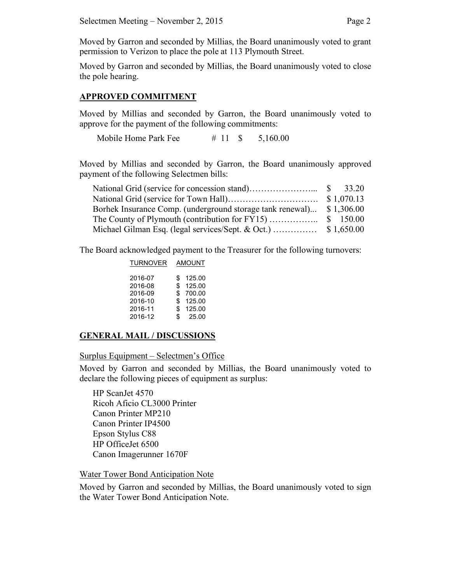Moved by Garron and seconded by Millias, the Board unanimously voted to grant permission to Verizon to place the pole at 113 Plymouth Street.

Moved by Garron and seconded by Millias, the Board unanimously voted to close the pole hearing.

#### **APPROVED COMMITMENT**

Moved by Millias and seconded by Garron, the Board unanimously voted to approve for the payment of the following commitments:

Mobile Home Park Fee  $\# 11 \$$  5,160.00

Moved by Millias and seconded by Garron, the Board unanimously approved payment of the following Selectmen bills:

| Borhek Insurance Comp. (underground storage tank renewal) \$1,306.00 |  |
|----------------------------------------------------------------------|--|
|                                                                      |  |
|                                                                      |  |

The Board acknowledged payment to the Treasurer for the following turnovers:

| <b>TURNOVER</b>                                     |                           | AMOUNT                                         |  |
|-----------------------------------------------------|---------------------------|------------------------------------------------|--|
| 2016-07<br>2016-08<br>2016-09<br>2016-10<br>2016-11 | S<br>\$<br>\$<br>\$<br>\$ | 125.00<br>125.00<br>700.00<br>125.00<br>125.00 |  |
| 2016-12                                             | \$                        | 25.00                                          |  |

### **GENERAL MAIL / DISCUSSIONS**

Surplus Equipment – Selectmen's Office

Moved by Garron and seconded by Millias, the Board unanimously voted to declare the following pieces of equipment as surplus:

HP ScanJet 4570 Ricoh Aficio CL3000 Printer Canon Printer MP210 Canon Printer IP4500 Epson Stylus C88 HP OfficeJet 6500 Canon Imagerunner 1670F

### Water Tower Bond Anticipation Note

Moved by Garron and seconded by Millias, the Board unanimously voted to sign the Water Tower Bond Anticipation Note.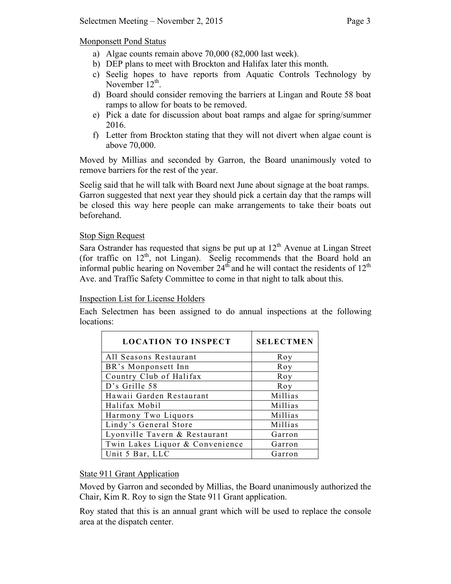Monponsett Pond Status

- a) Algae counts remain above 70,000 (82,000 last week).
- b) DEP plans to meet with Brockton and Halifax later this month.
- c) Seelig hopes to have reports from Aquatic Controls Technology by November  $12^{th}$ .
- d) Board should consider removing the barriers at Lingan and Route 58 boat ramps to allow for boats to be removed.
- e) Pick a date for discussion about boat ramps and algae for spring/summer 2016.
- f) Letter from Brockton stating that they will not divert when algae count is above 70,000.

Moved by Millias and seconded by Garron, the Board unanimously voted to remove barriers for the rest of the year.

Seelig said that he will talk with Board next June about signage at the boat ramps. Garron suggested that next year they should pick a certain day that the ramps will be closed this way here people can make arrangements to take their boats out beforehand.

## Stop Sign Request

Sara Ostrander has requested that signs be put up at  $12<sup>th</sup>$  Avenue at Lingan Street (for traffic on  $12<sup>th</sup>$ , not Lingan). Seelig recommends that the Board hold an informal public hearing on November  $24<sup>th</sup>$  and he will contact the residents of  $12<sup>th</sup>$ Ave. and Traffic Safety Committee to come in that night to talk about this.

## Inspection List for License Holders

Each Selectmen has been assigned to do annual inspections at the following locations:

| <b>LOCATION TO INSPECT</b>      | <b>SELECTMEN</b> |
|---------------------------------|------------------|
| All Seasons Restaurant          | Roy              |
| BR's Monponsett Inn             | Roy              |
| Country Club of Halifax         | Roy              |
| D's Grille 58                   | Roy              |
| Hawaii Garden Restaurant        | Millias          |
| Halifax Mobil                   | Millias          |
| Harmony Two Liquors             | Millias          |
| Lindy's General Store           | Millias          |
| Lyonville Tavern & Restaurant   | Garron           |
| Twin Lakes Liquor & Convenience | Garron           |
| Unit 5 Bar, LLC                 | Garron           |

## State 911 Grant Application

Moved by Garron and seconded by Millias, the Board unanimously authorized the Chair, Kim R. Roy to sign the State 911 Grant application.

Roy stated that this is an annual grant which will be used to replace the console area at the dispatch center.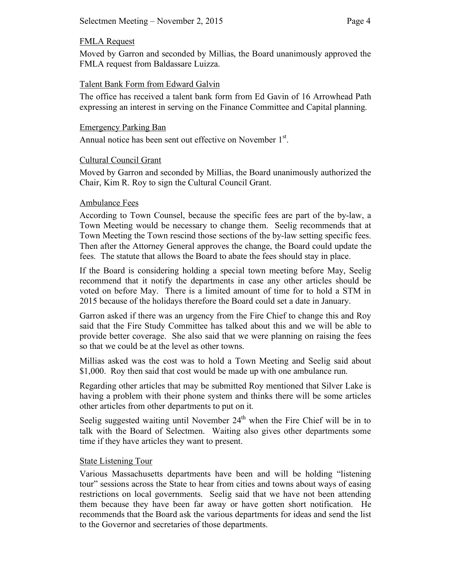## FMLA Request

Moved by Garron and seconded by Millias, the Board unanimously approved the FMLA request from Baldassare Luizza.

## Talent Bank Form from Edward Galvin

The office has received a talent bank form from Ed Gavin of 16 Arrowhead Path expressing an interest in serving on the Finance Committee and Capital planning.

## Emergency Parking Ban

Annual notice has been sent out effective on November 1<sup>st</sup>.

## Cultural Council Grant

Moved by Garron and seconded by Millias, the Board unanimously authorized the Chair, Kim R. Roy to sign the Cultural Council Grant.

## Ambulance Fees

According to Town Counsel, because the specific fees are part of the by-law, a Town Meeting would be necessary to change them. Seelig recommends that at Town Meeting the Town rescind those sections of the by-law setting specific fees. Then after the Attorney General approves the change, the Board could update the fees. The statute that allows the Board to abate the fees should stay in place.

If the Board is considering holding a special town meeting before May, Seelig recommend that it notify the departments in case any other articles should be voted on before May. There is a limited amount of time for to hold a STM in 2015 because of the holidays therefore the Board could set a date in January.

Garron asked if there was an urgency from the Fire Chief to change this and Roy said that the Fire Study Committee has talked about this and we will be able to provide better coverage. She also said that we were planning on raising the fees so that we could be at the level as other towns.

Millias asked was the cost was to hold a Town Meeting and Seelig said about \$1,000. Roy then said that cost would be made up with one ambulance run.

Regarding other articles that may be submitted Roy mentioned that Silver Lake is having a problem with their phone system and thinks there will be some articles other articles from other departments to put on it.

Seelig suggested waiting until November  $24<sup>th</sup>$  when the Fire Chief will be in to talk with the Board of Selectmen. Waiting also gives other departments some time if they have articles they want to present.

## State Listening Tour

Various Massachusetts departments have been and will be holding "listening tour" sessions across the State to hear from cities and towns about ways of easing restrictions on local governments. Seelig said that we have not been attending them because they have been far away or have gotten short notification. He recommends that the Board ask the various departments for ideas and send the list to the Governor and secretaries of those departments.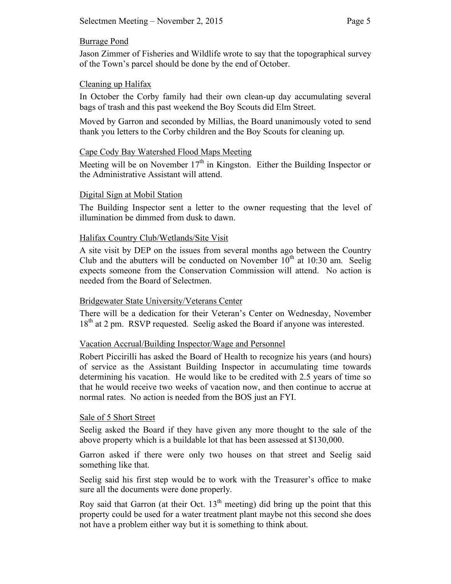## Burrage Pond

Jason Zimmer of Fisheries and Wildlife wrote to say that the topographical survey of the Town's parcel should be done by the end of October.

## Cleaning up Halifax

In October the Corby family had their own clean-up day accumulating several bags of trash and this past weekend the Boy Scouts did Elm Street.

Moved by Garron and seconded by Millias, the Board unanimously voted to send thank you letters to the Corby children and the Boy Scouts for cleaning up.

## Cape Cody Bay Watershed Flood Maps Meeting

Meeting will be on November  $17<sup>th</sup>$  in Kingston. Either the Building Inspector or the Administrative Assistant will attend.

### Digital Sign at Mobil Station

The Building Inspector sent a letter to the owner requesting that the level of illumination be dimmed from dusk to dawn.

## Halifax Country Club/Wetlands/Site Visit

A site visit by DEP on the issues from several months ago between the Country Club and the abutters will be conducted on November  $10<sup>th</sup>$  at 10:30 am. Seelig expects someone from the Conservation Commission will attend. No action is needed from the Board of Selectmen.

### Bridgewater State University/Veterans Center

There will be a dedication for their Veteran's Center on Wednesday, November 18<sup>th</sup> at 2 pm. RSVP requested. Seelig asked the Board if anyone was interested.

## Vacation Accrual/Building Inspector/Wage and Personnel

Robert Piccirilli has asked the Board of Health to recognize his years (and hours) of service as the Assistant Building Inspector in accumulating time towards determining his vacation. He would like to be credited with 2.5 years of time so that he would receive two weeks of vacation now, and then continue to accrue at normal rates. No action is needed from the BOS just an FYI.

### Sale of 5 Short Street

Seelig asked the Board if they have given any more thought to the sale of the above property which is a buildable lot that has been assessed at \$130,000.

Garron asked if there were only two houses on that street and Seelig said something like that.

Seelig said his first step would be to work with the Treasurer's office to make sure all the documents were done properly.

Roy said that Garron (at their Oct.  $13<sup>th</sup>$  meeting) did bring up the point that this property could be used for a water treatment plant maybe not this second she does not have a problem either way but it is something to think about.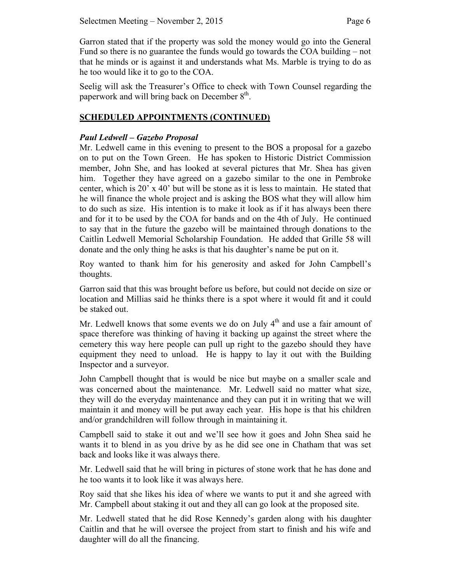Garron stated that if the property was sold the money would go into the General Fund so there is no guarantee the funds would go towards the COA building – not that he minds or is against it and understands what Ms. Marble is trying to do as he too would like it to go to the COA.

Seelig will ask the Treasurer's Office to check with Town Counsel regarding the paperwork and will bring back on December  $8<sup>th</sup>$ .

## **SCHEDULED APPOINTMENTS (CONTINUED)**

## *Paul Ledwell – Gazebo Proposal*

Mr. Ledwell came in this evening to present to the BOS a proposal for a gazebo on to put on the Town Green. He has spoken to Historic District Commission member, John She, and has looked at several pictures that Mr. Shea has given him. Together they have agreed on a gazebo similar to the one in Pembroke center, which is  $20'$  x  $40'$  but will be stone as it is less to maintain. He stated that he will finance the whole project and is asking the BOS what they will allow him to do such as size. His intention is to make it look as if it has always been there and for it to be used by the COA for bands and on the 4th of July. He continued to say that in the future the gazebo will be maintained through donations to the Caitlin Ledwell Memorial Scholarship Foundation. He added that Grille 58 will donate and the only thing he asks is that his daughter's name be put on it.

Roy wanted to thank him for his generosity and asked for John Campbell's thoughts.

Garron said that this was brought before us before, but could not decide on size or location and Millias said he thinks there is a spot where it would fit and it could be staked out.

Mr. Ledwell knows that some events we do on July  $4<sup>th</sup>$  and use a fair amount of space therefore was thinking of having it backing up against the street where the cemetery this way here people can pull up right to the gazebo should they have equipment they need to unload. He is happy to lay it out with the Building Inspector and a surveyor.

John Campbell thought that is would be nice but maybe on a smaller scale and was concerned about the maintenance. Mr. Ledwell said no matter what size, they will do the everyday maintenance and they can put it in writing that we will maintain it and money will be put away each year. His hope is that his children and/or grandchildren will follow through in maintaining it.

Campbell said to stake it out and we'll see how it goes and John Shea said he wants it to blend in as you drive by as he did see one in Chatham that was set back and looks like it was always there.

Mr. Ledwell said that he will bring in pictures of stone work that he has done and he too wants it to look like it was always here.

Roy said that she likes his idea of where we wants to put it and she agreed with Mr. Campbell about staking it out and they all can go look at the proposed site.

Mr. Ledwell stated that he did Rose Kennedy's garden along with his daughter Caitlin and that he will oversee the project from start to finish and his wife and daughter will do all the financing.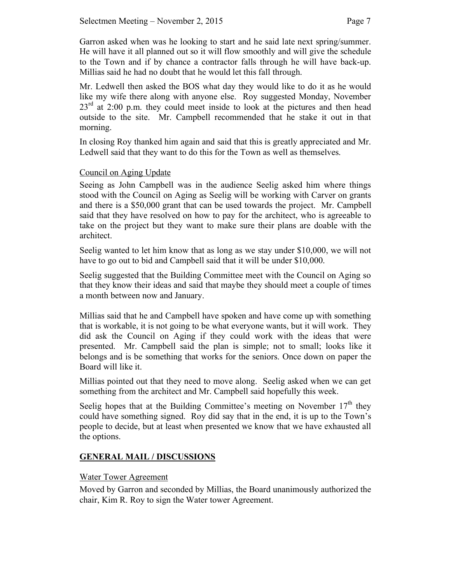Garron asked when was he looking to start and he said late next spring/summer. He will have it all planned out so it will flow smoothly and will give the schedule to the Town and if by chance a contractor falls through he will have back-up. Millias said he had no doubt that he would let this fall through.

Mr. Ledwell then asked the BOS what day they would like to do it as he would like my wife there along with anyone else. Roy suggested Monday, November  $23<sup>rd</sup>$  at 2:00 p.m. they could meet inside to look at the pictures and then head outside to the site. Mr. Campbell recommended that he stake it out in that morning.

In closing Roy thanked him again and said that this is greatly appreciated and Mr. Ledwell said that they want to do this for the Town as well as themselves.

## Council on Aging Update

Seeing as John Campbell was in the audience Seelig asked him where things stood with the Council on Aging as Seelig will be working with Carver on grants and there is a \$50,000 grant that can be used towards the project. Mr. Campbell said that they have resolved on how to pay for the architect, who is agreeable to take on the project but they want to make sure their plans are doable with the architect.

Seelig wanted to let him know that as long as we stay under \$10,000, we will not have to go out to bid and Campbell said that it will be under \$10,000.

Seelig suggested that the Building Committee meet with the Council on Aging so that they know their ideas and said that maybe they should meet a couple of times a month between now and January.

Millias said that he and Campbell have spoken and have come up with something that is workable, it is not going to be what everyone wants, but it will work. They did ask the Council on Aging if they could work with the ideas that were presented. Mr. Campbell said the plan is simple; not to small; looks like it belongs and is be something that works for the seniors. Once down on paper the Board will like it.

Millias pointed out that they need to move along. Seelig asked when we can get something from the architect and Mr. Campbell said hopefully this week.

Seelig hopes that at the Building Committee's meeting on November  $17<sup>th</sup>$  they could have something signed. Roy did say that in the end, it is up to the Town's people to decide, but at least when presented we know that we have exhausted all the options.

## **GENERAL MAIL / DISCUSSIONS**

## Water Tower Agreement

Moved by Garron and seconded by Millias, the Board unanimously authorized the chair, Kim R. Roy to sign the Water tower Agreement.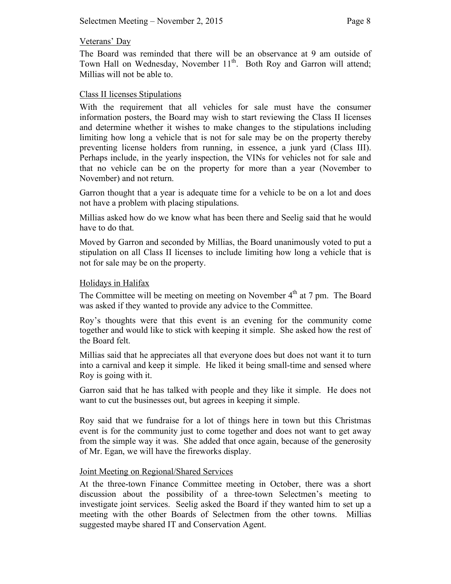### Veterans' Day

The Board was reminded that there will be an observance at 9 am outside of Town Hall on Wednesday, November 11<sup>th</sup>. Both Roy and Garron will attend; Millias will not be able to.

### Class II licenses Stipulations

With the requirement that all vehicles for sale must have the consumer information posters, the Board may wish to start reviewing the Class II licenses and determine whether it wishes to make changes to the stipulations including limiting how long a vehicle that is not for sale may be on the property thereby preventing license holders from running, in essence, a junk yard (Class III). Perhaps include, in the yearly inspection, the VINs for vehicles not for sale and that no vehicle can be on the property for more than a year (November to November) and not return.

Garron thought that a year is adequate time for a vehicle to be on a lot and does not have a problem with placing stipulations.

Millias asked how do we know what has been there and Seelig said that he would have to do that.

Moved by Garron and seconded by Millias, the Board unanimously voted to put a stipulation on all Class II licenses to include limiting how long a vehicle that is not for sale may be on the property.

#### Holidays in Halifax

The Committee will be meeting on meeting on November  $4<sup>th</sup>$  at 7 pm. The Board was asked if they wanted to provide any advice to the Committee.

Roy's thoughts were that this event is an evening for the community come together and would like to stick with keeping it simple. She asked how the rest of the Board felt.

Millias said that he appreciates all that everyone does but does not want it to turn into a carnival and keep it simple. He liked it being small-time and sensed where Roy is going with it.

Garron said that he has talked with people and they like it simple. He does not want to cut the businesses out, but agrees in keeping it simple.

Roy said that we fundraise for a lot of things here in town but this Christmas event is for the community just to come together and does not want to get away from the simple way it was. She added that once again, because of the generosity of Mr. Egan, we will have the fireworks display.

### Joint Meeting on Regional/Shared Services

At the three-town Finance Committee meeting in October, there was a short discussion about the possibility of a three-town Selectmen's meeting to investigate joint services. Seelig asked the Board if they wanted him to set up a meeting with the other Boards of Selectmen from the other towns. Millias suggested maybe shared IT and Conservation Agent.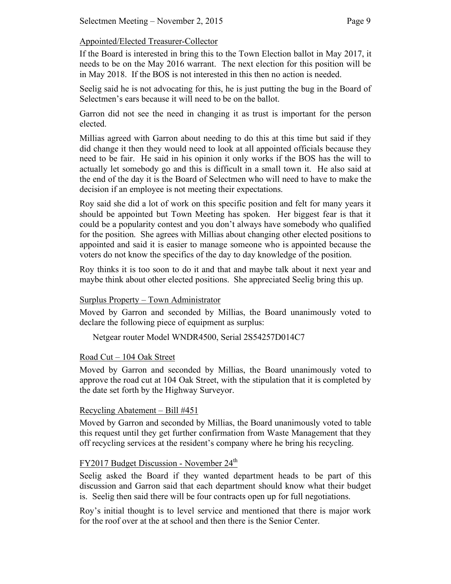## Appointed/Elected Treasurer-Collector

If the Board is interested in bring this to the Town Election ballot in May 2017, it needs to be on the May 2016 warrant. The next election for this position will be in May 2018. If the BOS is not interested in this then no action is needed.

Seelig said he is not advocating for this, he is just putting the bug in the Board of Selectmen's ears because it will need to be on the ballot.

Garron did not see the need in changing it as trust is important for the person elected.

Millias agreed with Garron about needing to do this at this time but said if they did change it then they would need to look at all appointed officials because they need to be fair. He said in his opinion it only works if the BOS has the will to actually let somebody go and this is difficult in a small town it. He also said at the end of the day it is the Board of Selectmen who will need to have to make the decision if an employee is not meeting their expectations.

Roy said she did a lot of work on this specific position and felt for many years it should be appointed but Town Meeting has spoken. Her biggest fear is that it could be a popularity contest and you don't always have somebody who qualified for the position. She agrees with Millias about changing other elected positions to appointed and said it is easier to manage someone who is appointed because the voters do not know the specifics of the day to day knowledge of the position.

Roy thinks it is too soon to do it and that and maybe talk about it next year and maybe think about other elected positions. She appreciated Seelig bring this up.

### Surplus Property – Town Administrator

Moved by Garron and seconded by Millias, the Board unanimously voted to declare the following piece of equipment as surplus:

Netgear router Model WNDR4500, Serial 2S54257D014C7

## Road Cut – 104 Oak Street

Moved by Garron and seconded by Millias, the Board unanimously voted to approve the road cut at 104 Oak Street, with the stipulation that it is completed by the date set forth by the Highway Surveyor.

### Recycling Abatement – Bill #451

Moved by Garron and seconded by Millias, the Board unanimously voted to table this request until they get further confirmation from Waste Management that they off recycling services at the resident's company where he bring his recycling.

# FY2017 Budget Discussion - November 24<sup>th</sup>

Seelig asked the Board if they wanted department heads to be part of this discussion and Garron said that each department should know what their budget is. Seelig then said there will be four contracts open up for full negotiations.

Roy's initial thought is to level service and mentioned that there is major work for the roof over at the at school and then there is the Senior Center.